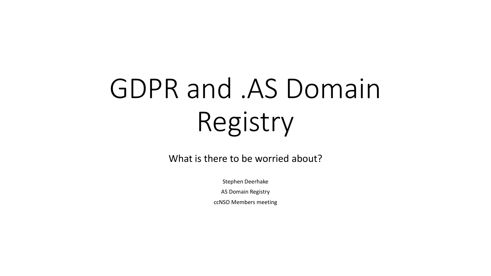# GDPR and .AS Domain Registry

What is there to be worried about?

Stephen Deerhake

AS Domain Registry

ccNSO Members meeting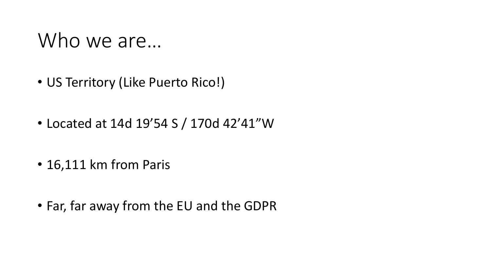#### Who we are...

- US Territory (Like Puerto Rico!)
- Located at 14d 19'54 S / 170d 42'41"W
- 16,111 km from Paris
- Far, far away from the EU and the GDPR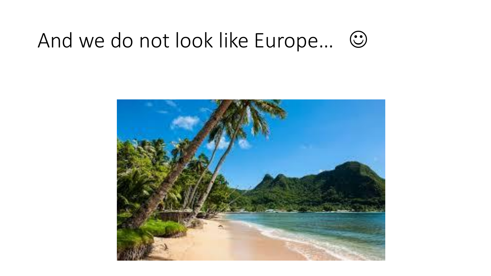#### And we do not look like Europe...  $\odot$

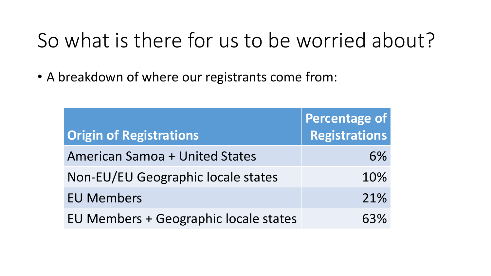## So what is there for us to be worried about?

• A breakdown of where our registrants come from:

|                                       | Percentage of |
|---------------------------------------|---------------|
| <b>Origin of Registrations</b>        | Registrations |
| <b>American Samoa + United States</b> | 6%            |
| Non-EU/EU Geographic locale states    | 10%           |
| <b>EU Members</b>                     | 21%           |
| EU Members + Geographic locale states | 63%           |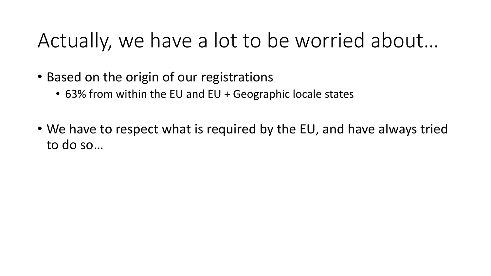#### Actually, we have a lot to be worried about…

- Based on the origin of our registrations
	- 63% from within the EU and EU + Geographic locale states
- We have to respect what is required by the EU, and have always tried to do so…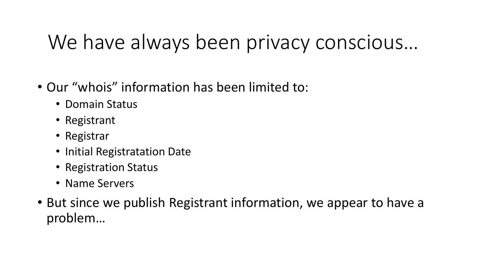## We have always been privacy conscious…

- Our "whois" information has been limited to:
	- Domain Status
	- Registrant
	- Registrar
	- Initial Registratation Date
	- Registration Status
	- Name Servers
- But since we publish Registrant information, we appear to have a problem…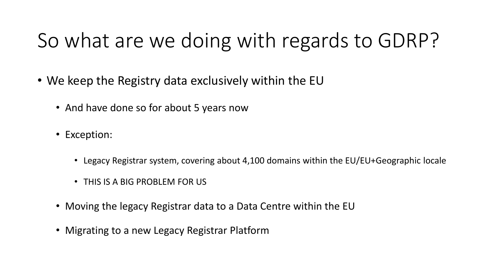# So what are we doing with regards to GDRP?

- We keep the Registry data exclusively within the EU
	- And have done so for about 5 years now
	- Exception:
		- Legacy Registrar system, covering about 4,100 domains within the EU/EU+Geographic locale
		- THIS IS A BIG PROBLEM FOR US
	- Moving the legacy Registrar data to a Data Centre within the EU
	- Migrating to a new Legacy Registrar Platform